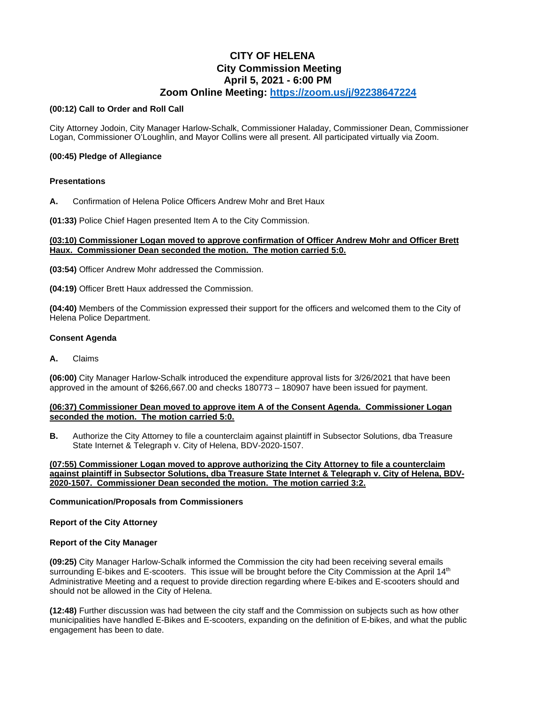# **CITY OF HELENA City Commission Meeting April 5, 2021 - 6:00 PM Zoom Online Meeting:<https://zoom.us/j/92238647224>**

#### **(00:12) Call to Order and Roll Call**

City Attorney Jodoin, City Manager Harlow-Schalk, Commissioner Haladay, Commissioner Dean, Commissioner Logan, Commissioner O'Loughlin, and Mayor Collins were all present. All participated virtually via Zoom.

### **(00:45) Pledge of Allegiance**

### **Presentations**

**A.** Confirmation of Helena Police Officers Andrew Mohr and Bret Haux

**(01:33)** Police Chief Hagen presented Item A to the City Commission.

#### **(03:10) Commissioner Logan moved to approve confirmation of Officer Andrew Mohr and Officer Brett Haux. Commissioner Dean seconded the motion. The motion carried 5:0.**

**(03:54)** Officer Andrew Mohr addressed the Commission.

**(04:19)** Officer Brett Haux addressed the Commission.

**(04:40)** Members of the Commission expressed their support for the officers and welcomed them to the City of Helena Police Department.

#### **Consent Agenda**

**A.** Claims

**(06:00)** City Manager Harlow-Schalk introduced the expenditure approval lists for 3/26/2021 that have been approved in the amount of \$266,667.00 and checks 180773 – 180907 have been issued for payment.

### **(06:37) Commissioner Dean moved to approve item A of the Consent Agenda. Commissioner Logan seconded the motion. The motion carried 5:0.**

**B.** Authorize the City Attorney to file a counterclaim against plaintiff in Subsector Solutions, dba Treasure State Internet & Telegraph v. City of Helena, BDV-2020-1507.

**(07:55) Commissioner Logan moved to approve authorizing the City Attorney to file a counterclaim against plaintiff in Subsector Solutions, dba Treasure State Internet & Telegraph v. City of Helena, BDV-2020-1507. Commissioner Dean seconded the motion. The motion carried 3:2.**

### **Communication/Proposals from Commissioners**

### **Report of the City Attorney**

### **Report of the City Manager**

**(09:25)** City Manager Harlow-Schalk informed the Commission the city had been receiving several emails surrounding E-bikes and E-scooters. This issue will be brought before the City Commission at the April 14<sup>th</sup> Administrative Meeting and a request to provide direction regarding where E-bikes and E-scooters should and should not be allowed in the City of Helena.

**(12:48)** Further discussion was had between the city staff and the Commission on subjects such as how other municipalities have handled E-Bikes and E-scooters, expanding on the definition of E-bikes, and what the public engagement has been to date.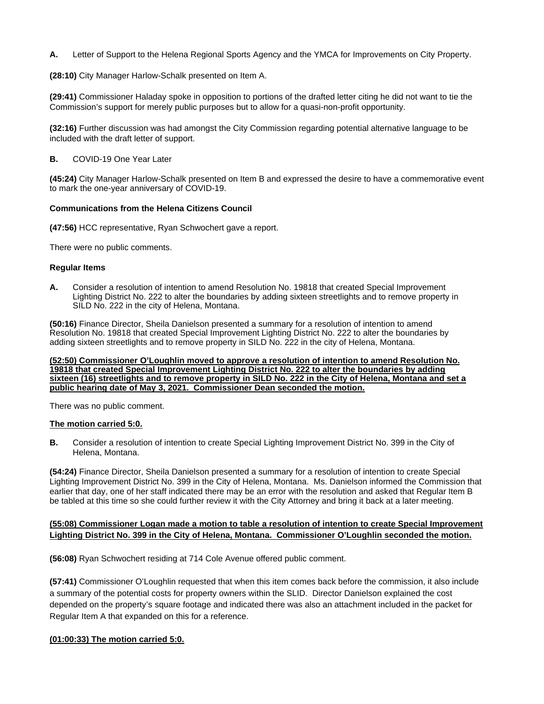**A.** Letter of Support to the Helena Regional Sports Agency and the YMCA for Improvements on City Property.

**(28:10)** City Manager Harlow-Schalk presented on Item A.

**(29:41)** Commissioner Haladay spoke in opposition to portions of the drafted letter citing he did not want to tie the Commission's support for merely public purposes but to allow for a quasi-non-profit opportunity.

**(32:16)** Further discussion was had amongst the City Commission regarding potential alternative language to be included with the draft letter of support.

**B.** COVID-19 One Year Later

**(45:24)** City Manager Harlow-Schalk presented on Item B and expressed the desire to have a commemorative event to mark the one-year anniversary of COVID-19.

### **Communications from the Helena Citizens Council**

**(47:56)** HCC representative, Ryan Schwochert gave a report.

There were no public comments.

### **Regular Items**

**A.** Consider a resolution of intention to amend Resolution No. 19818 that created Special Improvement Lighting District No. 222 to alter the boundaries by adding sixteen streetlights and to remove property in SILD No. 222 in the city of Helena, Montana.

**(50:16)** Finance Director, Sheila Danielson presented a summary for a resolution of intention to amend Resolution No. 19818 that created Special Improvement Lighting District No. 222 to alter the boundaries by adding sixteen streetlights and to remove property in SILD No. 222 in the city of Helena, Montana.

**(52:50) Commissioner O'Loughlin moved to approve a resolution of intention to amend Resolution No. 19818 that created Special Improvement Lighting District No. 222 to alter the boundaries by adding sixteen (16) streetlights and to remove property in SILD No. 222 in the City of Helena, Montana and set a public hearing date of May 3, 2021. Commissioner Dean seconded the motion.**

There was no public comment.

#### **The motion carried 5:0.**

**B.** Consider a resolution of intention to create Special Lighting Improvement District No. 399 in the City of Helena, Montana.

**(54:24)** Finance Director, Sheila Danielson presented a summary for a resolution of intention to create Special Lighting Improvement District No. 399 in the City of Helena, Montana. Ms. Danielson informed the Commission that earlier that day, one of her staff indicated there may be an error with the resolution and asked that Regular Item B be tabled at this time so she could further review it with the City Attorney and bring it back at a later meeting.

### **(55:08) Commissioner Logan made a motion to table a resolution of intention to create Special Improvement Lighting District No. 399 in the City of Helena, Montana. Commissioner O'Loughlin seconded the motion.**

**(56:08)** Ryan Schwochert residing at 714 Cole Avenue offered public comment.

**(57:41)** Commissioner O'Loughlin requested that when this item comes back before the commission, it also include a summary of the potential costs for property owners within the SLID. Director Danielson explained the cost depended on the property's square footage and indicated there was also an attachment included in the packet for Regular Item A that expanded on this for a reference.

### **(01:00:33) The motion carried 5:0.**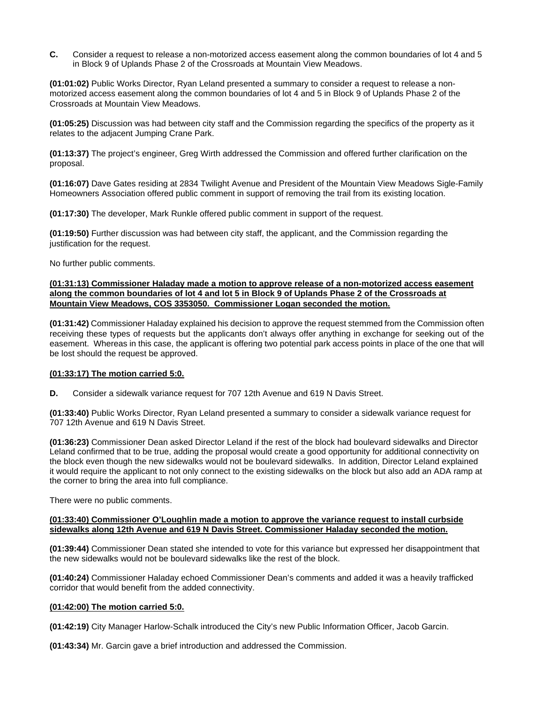**C.** Consider a request to release a non-motorized access easement along the common boundaries of lot 4 and 5 in Block 9 of Uplands Phase 2 of the Crossroads at Mountain View Meadows.

**(01:01:02)** Public Works Director, Ryan Leland presented a summary to consider a request to release a nonmotorized access easement along the common boundaries of lot 4 and 5 in Block 9 of Uplands Phase 2 of the Crossroads at Mountain View Meadows.

**(01:05:25)** Discussion was had between city staff and the Commission regarding the specifics of the property as it relates to the adjacent Jumping Crane Park.

**(01:13:37)** The project's engineer, Greg Wirth addressed the Commission and offered further clarification on the proposal.

**(01:16:07)** Dave Gates residing at 2834 Twilight Avenue and President of the Mountain View Meadows Sigle-Family Homeowners Association offered public comment in support of removing the trail from its existing location.

**(01:17:30)** The developer, Mark Runkle offered public comment in support of the request.

**(01:19:50)** Further discussion was had between city staff, the applicant, and the Commission regarding the justification for the request.

No further public comments.

### **(01:31:13) Commissioner Haladay made a motion to approve release of a non-motorized access easement along the common boundaries of lot 4 and lot 5 in Block 9 of Uplands Phase 2 of the Crossroads at Mountain View Meadows, COS 3353050. Commissioner Logan seconded the motion.**

**(01:31:42)** Commissioner Haladay explained his decision to approve the request stemmed from the Commission often receiving these types of requests but the applicants don't always offer anything in exchange for seeking out of the easement. Whereas in this case, the applicant is offering two potential park access points in place of the one that will be lost should the request be approved.

### **(01:33:17) The motion carried 5:0.**

**D.** Consider a sidewalk variance request for 707 12th Avenue and 619 N Davis Street.

**(01:33:40)** Public Works Director, Ryan Leland presented a summary to consider a sidewalk variance request for 707 12th Avenue and 619 N Davis Street.

**(01:36:23)** Commissioner Dean asked Director Leland if the rest of the block had boulevard sidewalks and Director Leland confirmed that to be true, adding the proposal would create a good opportunity for additional connectivity on the block even though the new sidewalks would not be boulevard sidewalks. In addition, Director Leland explained it would require the applicant to not only connect to the existing sidewalks on the block but also add an ADA ramp at the corner to bring the area into full compliance.

There were no public comments.

#### **(01:33:40) Commissioner O'Loughlin made a motion to approve the variance request to install curbside sidewalks along 12th Avenue and 619 N Davis Street. Commissioner Haladay seconded the motion.**

**(01:39:44)** Commissioner Dean stated she intended to vote for this variance but expressed her disappointment that the new sidewalks would not be boulevard sidewalks like the rest of the block.

**(01:40:24)** Commissioner Haladay echoed Commissioner Dean's comments and added it was a heavily trafficked corridor that would benefit from the added connectivity.

#### **(01:42:00) The motion carried 5:0.**

**(01:42:19)** City Manager Harlow-Schalk introduced the City's new Public Information Officer, Jacob Garcin.

**(01:43:34)** Mr. Garcin gave a brief introduction and addressed the Commission.